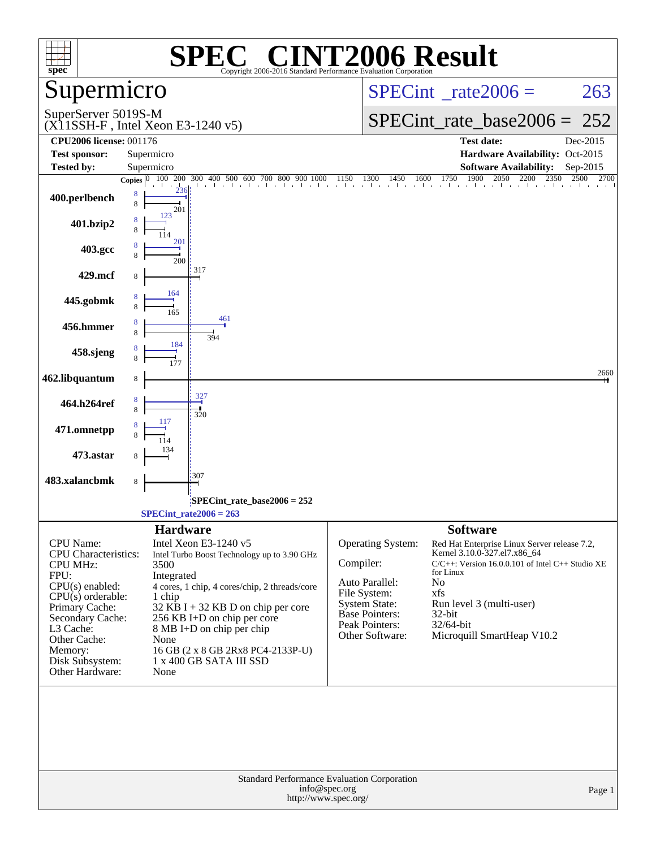| $spec^*$<br>Copyright 2006-2016 Standard Performance Evaluation Corporation                                                                                                                                                                                                                                |                                                     |
|------------------------------------------------------------------------------------------------------------------------------------------------------------------------------------------------------------------------------------------------------------------------------------------------------------|-----------------------------------------------------|
| Supermicro<br>$SPECint^{\circ}$ rate $2006 =$                                                                                                                                                                                                                                                              | 263                                                 |
| SuperServer 5019S-M<br>$SPECint_rate\_base2006 =$<br>$(X11SSH-F$ , Intel Xeon E3-1240 v5)                                                                                                                                                                                                                  | 252                                                 |
| <b>CPU2006 license: 001176</b><br><b>Test date:</b>                                                                                                                                                                                                                                                        | Dec-2015                                            |
| <b>Test sponsor:</b><br>Supermicro                                                                                                                                                                                                                                                                         | Hardware Availability: Oct-2015                     |
| Tested by:<br>Supermicro<br><b>Software Availability:</b>                                                                                                                                                                                                                                                  | Sep-2015                                            |
| $\frac{100}{200}$ $\frac{200}{300}$ $\frac{400}{400}$ $\frac{500}{600}$ $\frac{600}{600}$ $\frac{700}{600}$ $\frac{800}{900}$ $\frac{900}{1000}$ $\frac{1150}{1150}$ $\frac{1300}{1450}$ $\frac{1450}{1600}$ $\frac{1600}{1750}$ $\frac{1750}{1900}$ $\frac{2050}{2050}$ $\frac{2200}{235$<br>Copies $ 0 $ |                                                     |
| 8<br>400.perlbench<br>8<br>201                                                                                                                                                                                                                                                                             |                                                     |
| 123<br>401.bzip2                                                                                                                                                                                                                                                                                           |                                                     |
| 201<br>403.gcc<br>200                                                                                                                                                                                                                                                                                      |                                                     |
| 317<br>429.mcf<br>8                                                                                                                                                                                                                                                                                        |                                                     |
| 164<br>445.gobmk                                                                                                                                                                                                                                                                                           |                                                     |
| 461<br>456.hmmer                                                                                                                                                                                                                                                                                           |                                                     |
| 394<br>184<br>458.sjeng                                                                                                                                                                                                                                                                                    |                                                     |
| 462.libquantum<br>8                                                                                                                                                                                                                                                                                        | 2660                                                |
| 327<br>464.h264ref                                                                                                                                                                                                                                                                                         |                                                     |
| 320<br>471.omnetpp                                                                                                                                                                                                                                                                                         |                                                     |
| 473.astar                                                                                                                                                                                                                                                                                                  |                                                     |
| 307<br>483.xalancbmk<br>8                                                                                                                                                                                                                                                                                  |                                                     |
|                                                                                                                                                                                                                                                                                                            |                                                     |
| $SPECint$ rate_base2006 = 252<br>$SPECTnt_rate2006 = 263$                                                                                                                                                                                                                                                  |                                                     |
| <b>Hardware</b><br><b>Software</b>                                                                                                                                                                                                                                                                         |                                                     |
| CPU Name:<br>Intel Xeon E3-1240 v5<br>Operating System:<br>Kernel 3.10.0-327.el7.x86_64<br><b>CPU</b> Characteristics:<br>Intel Turbo Boost Technology up to 3.90 GHz                                                                                                                                      | Red Hat Enterprise Linux Server release 7.2,        |
| Compiler:<br><b>CPU MHz:</b><br>3500                                                                                                                                                                                                                                                                       | $C/C++$ : Version 16.0.0.101 of Intel C++ Studio XE |
| for Linux<br>FPU:<br>Integrated<br>Auto Parallel:<br>No<br>$CPU(s)$ enabled:                                                                                                                                                                                                                               |                                                     |
| 4 cores, 1 chip, 4 cores/chip, 2 threads/core<br>File System:<br>xfs<br>$CPU(s)$ orderable:<br>1 chip                                                                                                                                                                                                      |                                                     |
| <b>System State:</b><br>Run level 3 (multi-user)<br>Primary Cache:<br>$32$ KB I + 32 KB D on chip per core<br><b>Base Pointers:</b><br>32-bit                                                                                                                                                              |                                                     |
| Secondary Cache:<br>256 KB I+D on chip per core<br>Peak Pointers:<br>32/64-bit                                                                                                                                                                                                                             |                                                     |
| L3 Cache:<br>8 MB I+D on chip per chip<br>Microquill SmartHeap V10.2<br>Other Software:<br>Other Cache:<br>None                                                                                                                                                                                            |                                                     |
| Memory:<br>16 GB (2 x 8 GB 2Rx8 PC4-2133P-U)                                                                                                                                                                                                                                                               |                                                     |
| $1$ x $400$ GB SATA III ${\rm SSD}$<br>Disk Subsystem:<br>Other Hardware:<br>None                                                                                                                                                                                                                          |                                                     |
|                                                                                                                                                                                                                                                                                                            |                                                     |
| Standard Performance Evaluation Corporation<br>info@spec.org<br>http://www.spec.org/                                                                                                                                                                                                                       | Page 1                                              |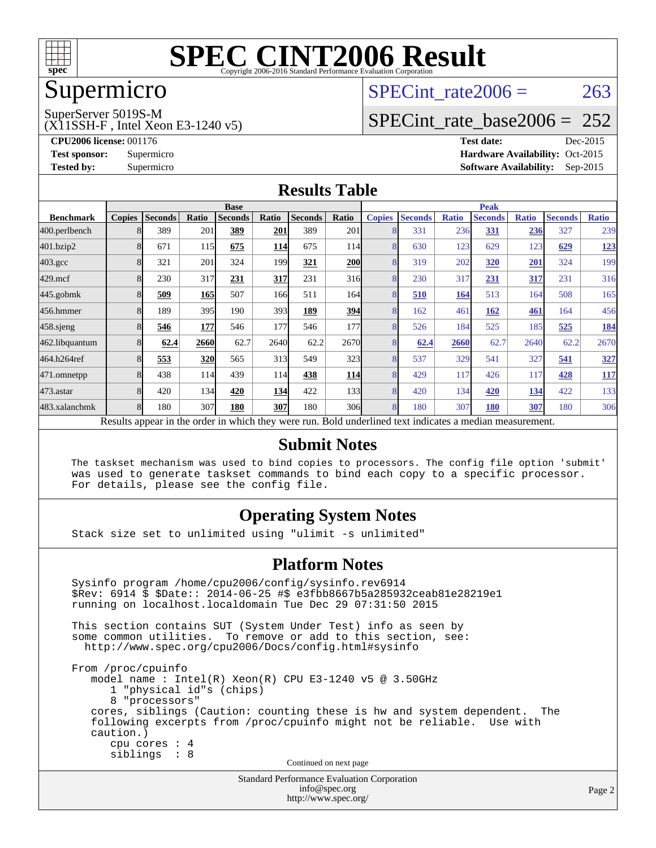

### Supermicro

## SPECint rate $2006 = 263$

SuperServer 5019S-M

(X11SSH-F , Intel Xeon E3-1240 v5)

[SPECint\\_rate\\_base2006 =](http://www.spec.org/auto/cpu2006/Docs/result-fields.html#SPECintratebase2006) 252

**[CPU2006 license:](http://www.spec.org/auto/cpu2006/Docs/result-fields.html#CPU2006license)** 001176 **[Test date:](http://www.spec.org/auto/cpu2006/Docs/result-fields.html#Testdate)** Dec-2015 **[Test sponsor:](http://www.spec.org/auto/cpu2006/Docs/result-fields.html#Testsponsor)** Supermicro Supermicro **[Hardware Availability:](http://www.spec.org/auto/cpu2006/Docs/result-fields.html#HardwareAvailability)** Oct-2015 **[Tested by:](http://www.spec.org/auto/cpu2006/Docs/result-fields.html#Testedby)** Supermicro **Supermicro [Software Availability:](http://www.spec.org/auto/cpu2006/Docs/result-fields.html#SoftwareAvailability)** Sep-2015

#### **[Results Table](http://www.spec.org/auto/cpu2006/Docs/result-fields.html#ResultsTable)**

|                    | <b>Base</b>                                                                                              |                |            |                |            | <b>Peak</b>    |                 |               |                |              |                |              |                |              |
|--------------------|----------------------------------------------------------------------------------------------------------|----------------|------------|----------------|------------|----------------|-----------------|---------------|----------------|--------------|----------------|--------------|----------------|--------------|
| <b>Benchmark</b>   | <b>Copies</b>                                                                                            | <b>Seconds</b> | Ratio      | <b>Seconds</b> | Ratio      | <b>Seconds</b> | Ratio           | <b>Copies</b> | <b>Seconds</b> | <b>Ratio</b> | <b>Seconds</b> | <b>Ratio</b> | <b>Seconds</b> | <b>Ratio</b> |
| 400.perlbench      |                                                                                                          | 389            | 201        | 389            | 201        | 389            | 201             | 8             | 331            | 236          | 331            | 236          | 327            | 239          |
| 401.bzip2          |                                                                                                          | 671            | 115        | 675            | 114        | 675            | 114I            | 8             | 630            | 123          | 629            | 123          | 629            | 123          |
| $403.\mathrm{gcc}$ |                                                                                                          | 321            | 201        | 324            | 199        | 321            | <b>200</b>      | 8             | 319            | 202          | 320            | 201          | 324            | 199          |
| $429$ .mcf         |                                                                                                          | 230            | 317        | 231            | 317        | 231            | 316             | 8             | 230            | 317          | 231            | <u>317</u>   | 231            | 316          |
| $445$ .gobm $k$    |                                                                                                          | 509            | 165        | 507            | <b>166</b> | 511            | 164             | 8             | 510            | 164          | 513            | 164          | 508            | 165          |
| 456.hmmer          |                                                                                                          | 189            | 395        | 190            | 393        | 189            | 394             | 8             | 162            | 461          | 162            | 461          | 164            | 456          |
| $458$ .sjeng       |                                                                                                          | 546            | 177        | 546            | 177        | 546            | 177             | 8             | 526            | 184          | 525            | 185          | 525            | <u>184</u>   |
| 462.libquantum     |                                                                                                          | 62.4           | 2660       | 62.7           | 2640       | 62.2           | 2670            | 8             | 62.4           | 2660         | 62.7           | 2640         | 62.2           | 2670         |
| 464.h264ref        |                                                                                                          | 553            | <u>320</u> | 565            | 313        | 549            | 323             | 8             | 537            | 329          | 541            | 327          | 541            | 327          |
| 471.omnetpp        |                                                                                                          | 438            | 114        | 439            | 114        | 438            | <b>114</b>      | 8             | 429            | 117          | 426            | 117          | 428            | <u>117</u>   |
| 473.astar          | 8                                                                                                        | 420            | 134        | 420            | 134        | 422            | 133             | 8             | 420            | 134          | 420            | 134          | 422            | 133          |
| 483.xalancbmk      |                                                                                                          | 180            | 307        | 180            | 307        | 180            | 30 <sub>6</sub> | 8             | 180            | 307          | 180            | 307          | 180            | 306          |
|                    | Results appear in the order in which they were run. Bold underlined text indicates a median measurement. |                |            |                |            |                |                 |               |                |              |                |              |                |              |

#### **[Submit Notes](http://www.spec.org/auto/cpu2006/Docs/result-fields.html#SubmitNotes)**

 The taskset mechanism was used to bind copies to processors. The config file option 'submit' was used to generate taskset commands to bind each copy to a specific processor. For details, please see the config file.

#### **[Operating System Notes](http://www.spec.org/auto/cpu2006/Docs/result-fields.html#OperatingSystemNotes)**

Stack size set to unlimited using "ulimit -s unlimited"

#### **[Platform Notes](http://www.spec.org/auto/cpu2006/Docs/result-fields.html#PlatformNotes)**

Standard Performance Evaluation Corporation Sysinfo program /home/cpu2006/config/sysinfo.rev6914 \$Rev: 6914 \$ \$Date:: 2014-06-25 #\$ e3fbb8667b5a285932ceab81e28219e1 running on localhost.localdomain Tue Dec 29 07:31:50 2015 This section contains SUT (System Under Test) info as seen by some common utilities. To remove or add to this section, see: <http://www.spec.org/cpu2006/Docs/config.html#sysinfo> From /proc/cpuinfo model name : Intel(R) Xeon(R) CPU E3-1240 v5 @ 3.50GHz 1 "physical id"s (chips) 8 "processors" cores, siblings (Caution: counting these is hw and system dependent. The following excerpts from /proc/cpuinfo might not be reliable. Use with caution.) cpu cores : 4 siblings : 8 Continued on next page

[info@spec.org](mailto:info@spec.org) <http://www.spec.org/>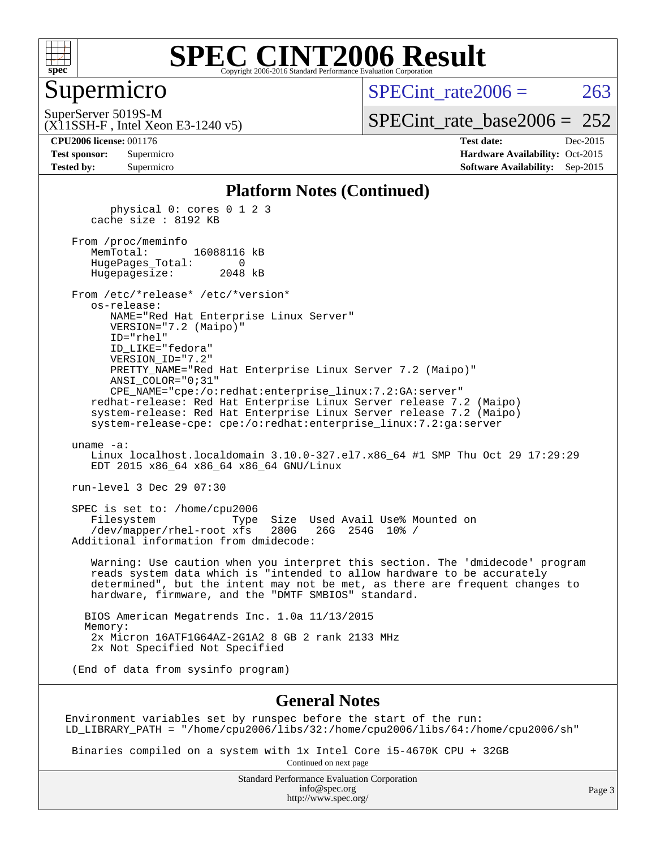

#### Supermicro

SPECint rate $2006 = 263$ 

(X11SSH-F , Intel Xeon E3-1240 v5) SuperServer 5019S-M

[SPECint\\_rate\\_base2006 =](http://www.spec.org/auto/cpu2006/Docs/result-fields.html#SPECintratebase2006)  $252$ 

**[CPU2006 license:](http://www.spec.org/auto/cpu2006/Docs/result-fields.html#CPU2006license)** 001176 **[Test date:](http://www.spec.org/auto/cpu2006/Docs/result-fields.html#Testdate)** Dec-2015 **[Test sponsor:](http://www.spec.org/auto/cpu2006/Docs/result-fields.html#Testsponsor)** Supermicro Supermicro **[Hardware Availability:](http://www.spec.org/auto/cpu2006/Docs/result-fields.html#HardwareAvailability)** Oct-2015 **[Tested by:](http://www.spec.org/auto/cpu2006/Docs/result-fields.html#Testedby)** Supermicro **Supermicro [Software Availability:](http://www.spec.org/auto/cpu2006/Docs/result-fields.html#SoftwareAvailability)** Sep-2015

#### **[Platform Notes \(Continued\)](http://www.spec.org/auto/cpu2006/Docs/result-fields.html#PlatformNotes)**

 physical 0: cores 0 1 2 3 cache size : 8192 KB From /proc/meminfo<br>MemTotal: 16088116 kB HugePages\_Total: 0 Hugepagesize: 2048 kB From /etc/\*release\* /etc/\*version\* os-release: NAME="Red Hat Enterprise Linux Server" VERSION="7.2 (Maipo)" ID="rhel" ID\_LIKE="fedora" VERSION\_ID="7.2" PRETTY\_NAME="Red Hat Enterprise Linux Server 7.2 (Maipo)" ANSI\_COLOR="0;31" CPE\_NAME="cpe:/o:redhat:enterprise\_linux:7.2:GA:server" redhat-release: Red Hat Enterprise Linux Server release 7.2 (Maipo) system-release: Red Hat Enterprise Linux Server release 7.2 (Maipo) system-release-cpe: cpe:/o:redhat:enterprise\_linux:7.2:ga:server uname -a: Linux localhost.localdomain 3.10.0-327.el7.x86\_64 #1 SMP Thu Oct 29 17:29:29 EDT 2015 x86\_64 x86\_64 x86\_64 GNU/Linux run-level 3 Dec 29 07:30 SPEC is set to: /home/cpu2006 Filesystem Type Size Used Avail Use% Mounted on<br>/dev/mapper/rhel-root xfs 280G 26G 254G 10% / /dev/mapper/rhel-root xfs 280G Additional information from dmidecode: Warning: Use caution when you interpret this section. The 'dmidecode' program reads system data which is "intended to allow hardware to be accurately determined", but the intent may not be met, as there are frequent changes to hardware, firmware, and the "DMTF SMBIOS" standard. BIOS American Megatrends Inc. 1.0a 11/13/2015 Memory: 2x Micron 16ATF1G64AZ-2G1A2 8 GB 2 rank 2133 MHz 2x Not Specified Not Specified (End of data from sysinfo program)

#### **[General Notes](http://www.spec.org/auto/cpu2006/Docs/result-fields.html#GeneralNotes)**

Environment variables set by runspec before the start of the run: LD\_LIBRARY\_PATH = "/home/cpu2006/libs/32:/home/cpu2006/libs/64:/home/cpu2006/sh"

 Binaries compiled on a system with 1x Intel Core i5-4670K CPU + 32GB Continued on next page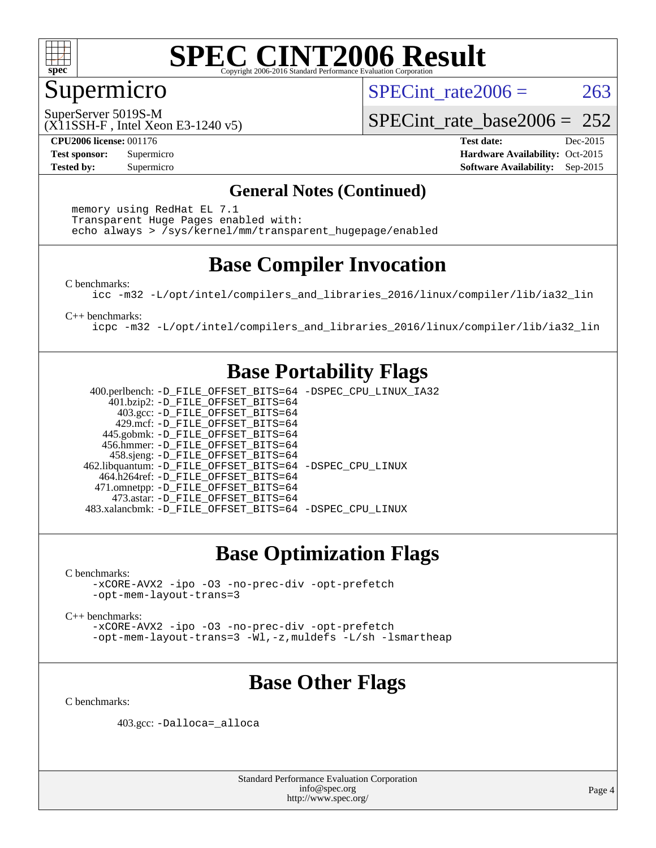

#### Supermicro

SPECint rate $2006 = 263$ 

(X11SSH-F , Intel Xeon E3-1240 v5) SuperServer 5019S-M

[SPECint\\_rate\\_base2006 =](http://www.spec.org/auto/cpu2006/Docs/result-fields.html#SPECintratebase2006) 252

**[CPU2006 license:](http://www.spec.org/auto/cpu2006/Docs/result-fields.html#CPU2006license)** 001176 **[Test date:](http://www.spec.org/auto/cpu2006/Docs/result-fields.html#Testdate)** Dec-2015 **[Test sponsor:](http://www.spec.org/auto/cpu2006/Docs/result-fields.html#Testsponsor)** Supermicro Supermicro **[Hardware Availability:](http://www.spec.org/auto/cpu2006/Docs/result-fields.html#HardwareAvailability)** Oct-2015 **[Tested by:](http://www.spec.org/auto/cpu2006/Docs/result-fields.html#Testedby)** Supermicro **Supermicro [Software Availability:](http://www.spec.org/auto/cpu2006/Docs/result-fields.html#SoftwareAvailability)** Sep-2015

#### **[General Notes \(Continued\)](http://www.spec.org/auto/cpu2006/Docs/result-fields.html#GeneralNotes)**

 memory using RedHat EL 7.1 Transparent Huge Pages enabled with: echo always > /sys/kernel/mm/transparent\_hugepage/enabled

### **[Base Compiler Invocation](http://www.spec.org/auto/cpu2006/Docs/result-fields.html#BaseCompilerInvocation)**

[C benchmarks](http://www.spec.org/auto/cpu2006/Docs/result-fields.html#Cbenchmarks):

[icc -m32 -L/opt/intel/compilers\\_and\\_libraries\\_2016/linux/compiler/lib/ia32\\_lin](http://www.spec.org/cpu2006/results/res2016q1/cpu2006-20160106-38567.flags.html#user_CCbase_intel_icc_e10256ba5924b668798078a321b0cb3f)

[C++ benchmarks:](http://www.spec.org/auto/cpu2006/Docs/result-fields.html#CXXbenchmarks)

[icpc -m32 -L/opt/intel/compilers\\_and\\_libraries\\_2016/linux/compiler/lib/ia32\\_lin](http://www.spec.org/cpu2006/results/res2016q1/cpu2006-20160106-38567.flags.html#user_CXXbase_intel_icpc_b4f50a394bdb4597aa5879c16bc3f5c5)

#### **[Base Portability Flags](http://www.spec.org/auto/cpu2006/Docs/result-fields.html#BasePortabilityFlags)**

 400.perlbench: [-D\\_FILE\\_OFFSET\\_BITS=64](http://www.spec.org/cpu2006/results/res2016q1/cpu2006-20160106-38567.flags.html#user_basePORTABILITY400_perlbench_file_offset_bits_64_438cf9856305ebd76870a2c6dc2689ab) [-DSPEC\\_CPU\\_LINUX\\_IA32](http://www.spec.org/cpu2006/results/res2016q1/cpu2006-20160106-38567.flags.html#b400.perlbench_baseCPORTABILITY_DSPEC_CPU_LINUX_IA32) 401.bzip2: [-D\\_FILE\\_OFFSET\\_BITS=64](http://www.spec.org/cpu2006/results/res2016q1/cpu2006-20160106-38567.flags.html#user_basePORTABILITY401_bzip2_file_offset_bits_64_438cf9856305ebd76870a2c6dc2689ab) 403.gcc: [-D\\_FILE\\_OFFSET\\_BITS=64](http://www.spec.org/cpu2006/results/res2016q1/cpu2006-20160106-38567.flags.html#user_basePORTABILITY403_gcc_file_offset_bits_64_438cf9856305ebd76870a2c6dc2689ab) 429.mcf: [-D\\_FILE\\_OFFSET\\_BITS=64](http://www.spec.org/cpu2006/results/res2016q1/cpu2006-20160106-38567.flags.html#user_basePORTABILITY429_mcf_file_offset_bits_64_438cf9856305ebd76870a2c6dc2689ab) 445.gobmk: [-D\\_FILE\\_OFFSET\\_BITS=64](http://www.spec.org/cpu2006/results/res2016q1/cpu2006-20160106-38567.flags.html#user_basePORTABILITY445_gobmk_file_offset_bits_64_438cf9856305ebd76870a2c6dc2689ab) 456.hmmer: [-D\\_FILE\\_OFFSET\\_BITS=64](http://www.spec.org/cpu2006/results/res2016q1/cpu2006-20160106-38567.flags.html#user_basePORTABILITY456_hmmer_file_offset_bits_64_438cf9856305ebd76870a2c6dc2689ab) 458.sjeng: [-D\\_FILE\\_OFFSET\\_BITS=64](http://www.spec.org/cpu2006/results/res2016q1/cpu2006-20160106-38567.flags.html#user_basePORTABILITY458_sjeng_file_offset_bits_64_438cf9856305ebd76870a2c6dc2689ab) 462.libquantum: [-D\\_FILE\\_OFFSET\\_BITS=64](http://www.spec.org/cpu2006/results/res2016q1/cpu2006-20160106-38567.flags.html#user_basePORTABILITY462_libquantum_file_offset_bits_64_438cf9856305ebd76870a2c6dc2689ab) [-DSPEC\\_CPU\\_LINUX](http://www.spec.org/cpu2006/results/res2016q1/cpu2006-20160106-38567.flags.html#b462.libquantum_baseCPORTABILITY_DSPEC_CPU_LINUX) 464.h264ref: [-D\\_FILE\\_OFFSET\\_BITS=64](http://www.spec.org/cpu2006/results/res2016q1/cpu2006-20160106-38567.flags.html#user_basePORTABILITY464_h264ref_file_offset_bits_64_438cf9856305ebd76870a2c6dc2689ab) 471.omnetpp: [-D\\_FILE\\_OFFSET\\_BITS=64](http://www.spec.org/cpu2006/results/res2016q1/cpu2006-20160106-38567.flags.html#user_basePORTABILITY471_omnetpp_file_offset_bits_64_438cf9856305ebd76870a2c6dc2689ab) 473.astar: [-D\\_FILE\\_OFFSET\\_BITS=64](http://www.spec.org/cpu2006/results/res2016q1/cpu2006-20160106-38567.flags.html#user_basePORTABILITY473_astar_file_offset_bits_64_438cf9856305ebd76870a2c6dc2689ab) 483.xalancbmk: [-D\\_FILE\\_OFFSET\\_BITS=64](http://www.spec.org/cpu2006/results/res2016q1/cpu2006-20160106-38567.flags.html#user_basePORTABILITY483_xalancbmk_file_offset_bits_64_438cf9856305ebd76870a2c6dc2689ab) [-DSPEC\\_CPU\\_LINUX](http://www.spec.org/cpu2006/results/res2016q1/cpu2006-20160106-38567.flags.html#b483.xalancbmk_baseCXXPORTABILITY_DSPEC_CPU_LINUX)

### **[Base Optimization Flags](http://www.spec.org/auto/cpu2006/Docs/result-fields.html#BaseOptimizationFlags)**

[C benchmarks](http://www.spec.org/auto/cpu2006/Docs/result-fields.html#Cbenchmarks):

[-xCORE-AVX2](http://www.spec.org/cpu2006/results/res2016q1/cpu2006-20160106-38567.flags.html#user_CCbase_f-xAVX2_5f5fc0cbe2c9f62c816d3e45806c70d7) [-ipo](http://www.spec.org/cpu2006/results/res2016q1/cpu2006-20160106-38567.flags.html#user_CCbase_f-ipo) [-O3](http://www.spec.org/cpu2006/results/res2016q1/cpu2006-20160106-38567.flags.html#user_CCbase_f-O3) [-no-prec-div](http://www.spec.org/cpu2006/results/res2016q1/cpu2006-20160106-38567.flags.html#user_CCbase_f-no-prec-div) [-opt-prefetch](http://www.spec.org/cpu2006/results/res2016q1/cpu2006-20160106-38567.flags.html#user_CCbase_f-opt-prefetch) [-opt-mem-layout-trans=3](http://www.spec.org/cpu2006/results/res2016q1/cpu2006-20160106-38567.flags.html#user_CCbase_f-opt-mem-layout-trans_a7b82ad4bd7abf52556d4961a2ae94d5)

[C++ benchmarks:](http://www.spec.org/auto/cpu2006/Docs/result-fields.html#CXXbenchmarks)

[-xCORE-AVX2](http://www.spec.org/cpu2006/results/res2016q1/cpu2006-20160106-38567.flags.html#user_CXXbase_f-xAVX2_5f5fc0cbe2c9f62c816d3e45806c70d7) [-ipo](http://www.spec.org/cpu2006/results/res2016q1/cpu2006-20160106-38567.flags.html#user_CXXbase_f-ipo) [-O3](http://www.spec.org/cpu2006/results/res2016q1/cpu2006-20160106-38567.flags.html#user_CXXbase_f-O3) [-no-prec-div](http://www.spec.org/cpu2006/results/res2016q1/cpu2006-20160106-38567.flags.html#user_CXXbase_f-no-prec-div) [-opt-prefetch](http://www.spec.org/cpu2006/results/res2016q1/cpu2006-20160106-38567.flags.html#user_CXXbase_f-opt-prefetch) [-opt-mem-layout-trans=3](http://www.spec.org/cpu2006/results/res2016q1/cpu2006-20160106-38567.flags.html#user_CXXbase_f-opt-mem-layout-trans_a7b82ad4bd7abf52556d4961a2ae94d5) [-Wl,-z,muldefs](http://www.spec.org/cpu2006/results/res2016q1/cpu2006-20160106-38567.flags.html#user_CXXbase_link_force_multiple1_74079c344b956b9658436fd1b6dd3a8a) [-L/sh -lsmartheap](http://www.spec.org/cpu2006/results/res2016q1/cpu2006-20160106-38567.flags.html#user_CXXbase_SmartHeap_32f6c82aa1ed9c52345d30cf6e4a0499)

### **[Base Other Flags](http://www.spec.org/auto/cpu2006/Docs/result-fields.html#BaseOtherFlags)**

[C benchmarks](http://www.spec.org/auto/cpu2006/Docs/result-fields.html#Cbenchmarks):

403.gcc: [-Dalloca=\\_alloca](http://www.spec.org/cpu2006/results/res2016q1/cpu2006-20160106-38567.flags.html#b403.gcc_baseEXTRA_CFLAGS_Dalloca_be3056838c12de2578596ca5467af7f3)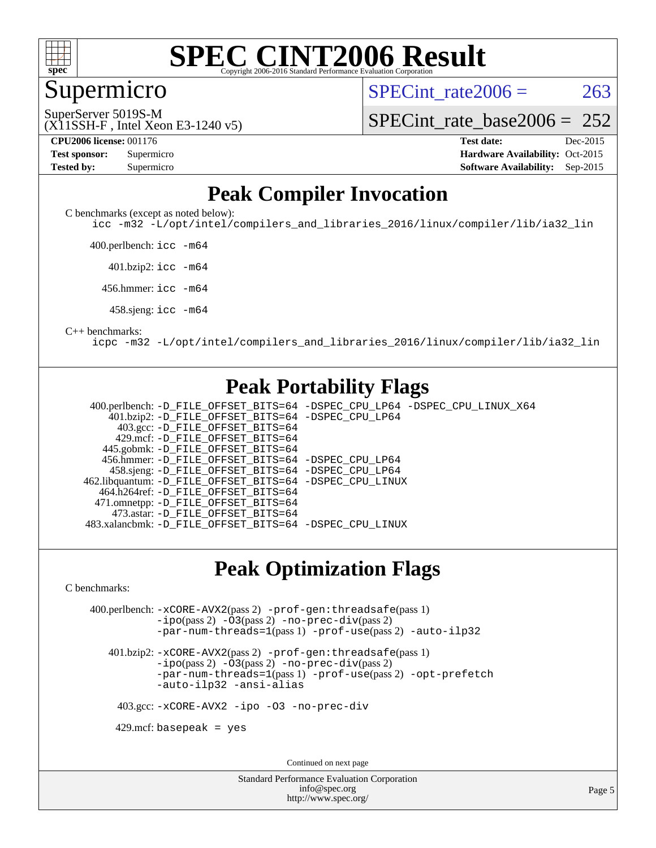

#### **[SPEC CINT2006 Result](http://www.spec.org/auto/cpu2006/Docs/result-fields.html#SPECCINT2006Result)** Copyright 2006-2016 Standard Performance Evaluation C

#### Supermicro

SPECint rate $2006 = 263$ 

(X11SSH-F , Intel Xeon E3-1240 v5) SuperServer 5019S-M

[SPECint\\_rate\\_base2006 =](http://www.spec.org/auto/cpu2006/Docs/result-fields.html#SPECintratebase2006)  $252$ 

**[CPU2006 license:](http://www.spec.org/auto/cpu2006/Docs/result-fields.html#CPU2006license)** 001176 **[Test date:](http://www.spec.org/auto/cpu2006/Docs/result-fields.html#Testdate)** Dec-2015 **[Test sponsor:](http://www.spec.org/auto/cpu2006/Docs/result-fields.html#Testsponsor)** Supermicro Supermicro **[Hardware Availability:](http://www.spec.org/auto/cpu2006/Docs/result-fields.html#HardwareAvailability)** Oct-2015 **[Tested by:](http://www.spec.org/auto/cpu2006/Docs/result-fields.html#Testedby)** Supermicro **Supermicro [Software Availability:](http://www.spec.org/auto/cpu2006/Docs/result-fields.html#SoftwareAvailability)** Sep-2015

#### **[Peak Compiler Invocation](http://www.spec.org/auto/cpu2006/Docs/result-fields.html#PeakCompilerInvocation)**

[C benchmarks \(except as noted below\)](http://www.spec.org/auto/cpu2006/Docs/result-fields.html#Cbenchmarksexceptasnotedbelow):

[icc -m32 -L/opt/intel/compilers\\_and\\_libraries\\_2016/linux/compiler/lib/ia32\\_lin](http://www.spec.org/cpu2006/results/res2016q1/cpu2006-20160106-38567.flags.html#user_CCpeak_intel_icc_e10256ba5924b668798078a321b0cb3f)

400.perlbench: [icc -m64](http://www.spec.org/cpu2006/results/res2016q1/cpu2006-20160106-38567.flags.html#user_peakCCLD400_perlbench_intel_icc_64bit_bda6cc9af1fdbb0edc3795bac97ada53)

401.bzip2: [icc -m64](http://www.spec.org/cpu2006/results/res2016q1/cpu2006-20160106-38567.flags.html#user_peakCCLD401_bzip2_intel_icc_64bit_bda6cc9af1fdbb0edc3795bac97ada53)

456.hmmer: [icc -m64](http://www.spec.org/cpu2006/results/res2016q1/cpu2006-20160106-38567.flags.html#user_peakCCLD456_hmmer_intel_icc_64bit_bda6cc9af1fdbb0edc3795bac97ada53)

458.sjeng: [icc -m64](http://www.spec.org/cpu2006/results/res2016q1/cpu2006-20160106-38567.flags.html#user_peakCCLD458_sjeng_intel_icc_64bit_bda6cc9af1fdbb0edc3795bac97ada53)

#### [C++ benchmarks:](http://www.spec.org/auto/cpu2006/Docs/result-fields.html#CXXbenchmarks)

[icpc -m32 -L/opt/intel/compilers\\_and\\_libraries\\_2016/linux/compiler/lib/ia32\\_lin](http://www.spec.org/cpu2006/results/res2016q1/cpu2006-20160106-38567.flags.html#user_CXXpeak_intel_icpc_b4f50a394bdb4597aa5879c16bc3f5c5)

#### **[Peak Portability Flags](http://www.spec.org/auto/cpu2006/Docs/result-fields.html#PeakPortabilityFlags)**

 400.perlbench: [-D\\_FILE\\_OFFSET\\_BITS=64](http://www.spec.org/cpu2006/results/res2016q1/cpu2006-20160106-38567.flags.html#user_peakPORTABILITY400_perlbench_file_offset_bits_64_438cf9856305ebd76870a2c6dc2689ab) [-DSPEC\\_CPU\\_LP64](http://www.spec.org/cpu2006/results/res2016q1/cpu2006-20160106-38567.flags.html#b400.perlbench_peakCPORTABILITY_DSPEC_CPU_LP64) [-DSPEC\\_CPU\\_LINUX\\_X64](http://www.spec.org/cpu2006/results/res2016q1/cpu2006-20160106-38567.flags.html#b400.perlbench_peakCPORTABILITY_DSPEC_CPU_LINUX_X64) 401.bzip2: [-D\\_FILE\\_OFFSET\\_BITS=64](http://www.spec.org/cpu2006/results/res2016q1/cpu2006-20160106-38567.flags.html#user_peakPORTABILITY401_bzip2_file_offset_bits_64_438cf9856305ebd76870a2c6dc2689ab) [-DSPEC\\_CPU\\_LP64](http://www.spec.org/cpu2006/results/res2016q1/cpu2006-20160106-38567.flags.html#suite_peakCPORTABILITY401_bzip2_DSPEC_CPU_LP64) 403.gcc: [-D\\_FILE\\_OFFSET\\_BITS=64](http://www.spec.org/cpu2006/results/res2016q1/cpu2006-20160106-38567.flags.html#user_peakPORTABILITY403_gcc_file_offset_bits_64_438cf9856305ebd76870a2c6dc2689ab) 429.mcf: [-D\\_FILE\\_OFFSET\\_BITS=64](http://www.spec.org/cpu2006/results/res2016q1/cpu2006-20160106-38567.flags.html#user_peakPORTABILITY429_mcf_file_offset_bits_64_438cf9856305ebd76870a2c6dc2689ab) 445.gobmk: [-D\\_FILE\\_OFFSET\\_BITS=64](http://www.spec.org/cpu2006/results/res2016q1/cpu2006-20160106-38567.flags.html#user_peakPORTABILITY445_gobmk_file_offset_bits_64_438cf9856305ebd76870a2c6dc2689ab) 456.hmmer: [-D\\_FILE\\_OFFSET\\_BITS=64](http://www.spec.org/cpu2006/results/res2016q1/cpu2006-20160106-38567.flags.html#user_peakPORTABILITY456_hmmer_file_offset_bits_64_438cf9856305ebd76870a2c6dc2689ab) [-DSPEC\\_CPU\\_LP64](http://www.spec.org/cpu2006/results/res2016q1/cpu2006-20160106-38567.flags.html#suite_peakCPORTABILITY456_hmmer_DSPEC_CPU_LP64) 458.sjeng: [-D\\_FILE\\_OFFSET\\_BITS=64](http://www.spec.org/cpu2006/results/res2016q1/cpu2006-20160106-38567.flags.html#user_peakPORTABILITY458_sjeng_file_offset_bits_64_438cf9856305ebd76870a2c6dc2689ab) [-DSPEC\\_CPU\\_LP64](http://www.spec.org/cpu2006/results/res2016q1/cpu2006-20160106-38567.flags.html#suite_peakCPORTABILITY458_sjeng_DSPEC_CPU_LP64) 462.libquantum: [-D\\_FILE\\_OFFSET\\_BITS=64](http://www.spec.org/cpu2006/results/res2016q1/cpu2006-20160106-38567.flags.html#user_peakPORTABILITY462_libquantum_file_offset_bits_64_438cf9856305ebd76870a2c6dc2689ab) [-DSPEC\\_CPU\\_LINUX](http://www.spec.org/cpu2006/results/res2016q1/cpu2006-20160106-38567.flags.html#b462.libquantum_peakCPORTABILITY_DSPEC_CPU_LINUX) 464.h264ref: [-D\\_FILE\\_OFFSET\\_BITS=64](http://www.spec.org/cpu2006/results/res2016q1/cpu2006-20160106-38567.flags.html#user_peakPORTABILITY464_h264ref_file_offset_bits_64_438cf9856305ebd76870a2c6dc2689ab) 471.omnetpp: [-D\\_FILE\\_OFFSET\\_BITS=64](http://www.spec.org/cpu2006/results/res2016q1/cpu2006-20160106-38567.flags.html#user_peakPORTABILITY471_omnetpp_file_offset_bits_64_438cf9856305ebd76870a2c6dc2689ab) 473.astar: [-D\\_FILE\\_OFFSET\\_BITS=64](http://www.spec.org/cpu2006/results/res2016q1/cpu2006-20160106-38567.flags.html#user_peakPORTABILITY473_astar_file_offset_bits_64_438cf9856305ebd76870a2c6dc2689ab) 483.xalancbmk: [-D\\_FILE\\_OFFSET\\_BITS=64](http://www.spec.org/cpu2006/results/res2016q1/cpu2006-20160106-38567.flags.html#user_peakPORTABILITY483_xalancbmk_file_offset_bits_64_438cf9856305ebd76870a2c6dc2689ab) [-DSPEC\\_CPU\\_LINUX](http://www.spec.org/cpu2006/results/res2016q1/cpu2006-20160106-38567.flags.html#b483.xalancbmk_peakCXXPORTABILITY_DSPEC_CPU_LINUX)

#### **[Peak Optimization Flags](http://www.spec.org/auto/cpu2006/Docs/result-fields.html#PeakOptimizationFlags)**

[C benchmarks](http://www.spec.org/auto/cpu2006/Docs/result-fields.html#Cbenchmarks):

 400.perlbench: [-xCORE-AVX2](http://www.spec.org/cpu2006/results/res2016q1/cpu2006-20160106-38567.flags.html#user_peakPASS2_CFLAGSPASS2_LDCFLAGS400_perlbench_f-xAVX2_5f5fc0cbe2c9f62c816d3e45806c70d7)(pass 2) [-prof-gen:threadsafe](http://www.spec.org/cpu2006/results/res2016q1/cpu2006-20160106-38567.flags.html#user_peakPASS1_CFLAGSPASS1_LDCFLAGS400_perlbench_prof_gen_21a26eb79f378b550acd7bec9fe4467a)(pass 1) [-ipo](http://www.spec.org/cpu2006/results/res2016q1/cpu2006-20160106-38567.flags.html#user_peakPASS2_CFLAGSPASS2_LDCFLAGS400_perlbench_f-ipo)(pass 2) [-O3](http://www.spec.org/cpu2006/results/res2016q1/cpu2006-20160106-38567.flags.html#user_peakPASS2_CFLAGSPASS2_LDCFLAGS400_perlbench_f-O3)(pass 2) [-no-prec-div](http://www.spec.org/cpu2006/results/res2016q1/cpu2006-20160106-38567.flags.html#user_peakPASS2_CFLAGSPASS2_LDCFLAGS400_perlbench_f-no-prec-div)(pass 2) [-par-num-threads=1](http://www.spec.org/cpu2006/results/res2016q1/cpu2006-20160106-38567.flags.html#user_peakPASS1_CFLAGSPASS1_LDCFLAGS400_perlbench_par_num_threads_786a6ff141b4e9e90432e998842df6c2)(pass 1) [-prof-use](http://www.spec.org/cpu2006/results/res2016q1/cpu2006-20160106-38567.flags.html#user_peakPASS2_CFLAGSPASS2_LDCFLAGS400_perlbench_prof_use_bccf7792157ff70d64e32fe3e1250b55)(pass 2) [-auto-ilp32](http://www.spec.org/cpu2006/results/res2016q1/cpu2006-20160106-38567.flags.html#user_peakCOPTIMIZE400_perlbench_f-auto-ilp32)

 401.bzip2: [-xCORE-AVX2](http://www.spec.org/cpu2006/results/res2016q1/cpu2006-20160106-38567.flags.html#user_peakPASS2_CFLAGSPASS2_LDCFLAGS401_bzip2_f-xAVX2_5f5fc0cbe2c9f62c816d3e45806c70d7)(pass 2) [-prof-gen:threadsafe](http://www.spec.org/cpu2006/results/res2016q1/cpu2006-20160106-38567.flags.html#user_peakPASS1_CFLAGSPASS1_LDCFLAGS401_bzip2_prof_gen_21a26eb79f378b550acd7bec9fe4467a)(pass 1)  $-i\text{po}(pass 2) -O3(pass 2) -no-prec-div(pass 2)$  $-i\text{po}(pass 2) -O3(pass 2) -no-prec-div(pass 2)$  $-i\text{po}(pass 2) -O3(pass 2) -no-prec-div(pass 2)$  $-i\text{po}(pass 2) -O3(pass 2) -no-prec-div(pass 2)$  $-i\text{po}(pass 2) -O3(pass 2) -no-prec-div(pass 2)$ [-par-num-threads=1](http://www.spec.org/cpu2006/results/res2016q1/cpu2006-20160106-38567.flags.html#user_peakPASS1_CFLAGSPASS1_LDCFLAGS401_bzip2_par_num_threads_786a6ff141b4e9e90432e998842df6c2)(pass 1) [-prof-use](http://www.spec.org/cpu2006/results/res2016q1/cpu2006-20160106-38567.flags.html#user_peakPASS2_CFLAGSPASS2_LDCFLAGS401_bzip2_prof_use_bccf7792157ff70d64e32fe3e1250b55)(pass 2) [-opt-prefetch](http://www.spec.org/cpu2006/results/res2016q1/cpu2006-20160106-38567.flags.html#user_peakCOPTIMIZE401_bzip2_f-opt-prefetch) [-auto-ilp32](http://www.spec.org/cpu2006/results/res2016q1/cpu2006-20160106-38567.flags.html#user_peakCOPTIMIZE401_bzip2_f-auto-ilp32) [-ansi-alias](http://www.spec.org/cpu2006/results/res2016q1/cpu2006-20160106-38567.flags.html#user_peakCOPTIMIZE401_bzip2_f-ansi-alias)

403.gcc: [-xCORE-AVX2](http://www.spec.org/cpu2006/results/res2016q1/cpu2006-20160106-38567.flags.html#user_peakCOPTIMIZE403_gcc_f-xAVX2_5f5fc0cbe2c9f62c816d3e45806c70d7) [-ipo](http://www.spec.org/cpu2006/results/res2016q1/cpu2006-20160106-38567.flags.html#user_peakCOPTIMIZE403_gcc_f-ipo) [-O3](http://www.spec.org/cpu2006/results/res2016q1/cpu2006-20160106-38567.flags.html#user_peakCOPTIMIZE403_gcc_f-O3) [-no-prec-div](http://www.spec.org/cpu2006/results/res2016q1/cpu2006-20160106-38567.flags.html#user_peakCOPTIMIZE403_gcc_f-no-prec-div)

 $429$ .mcf: basepeak = yes

Continued on next page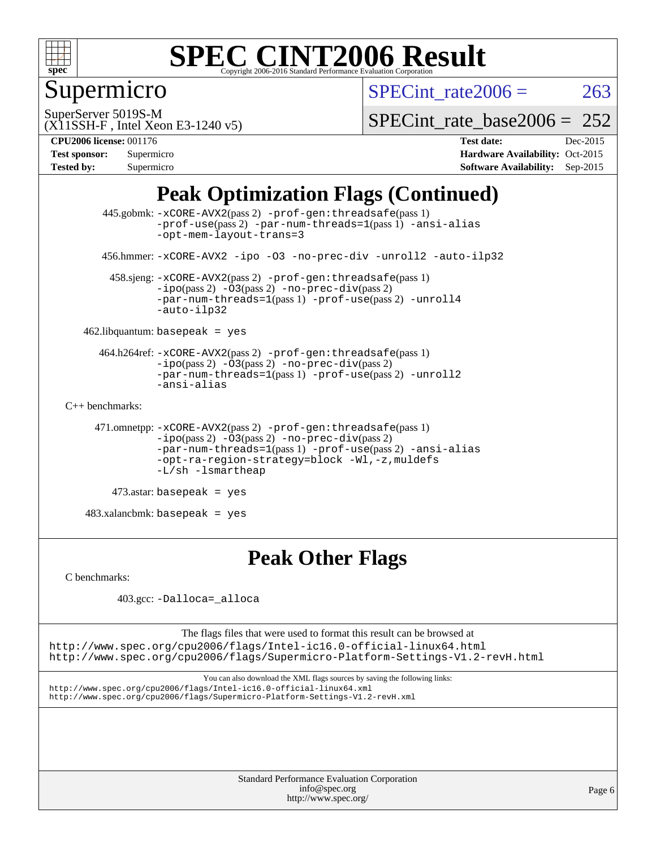

## Supermicro

SPECint rate  $2006 = 263$ 

SuperServer 5019S-M

[SPECint\\_rate\\_base2006 =](http://www.spec.org/auto/cpu2006/Docs/result-fields.html#SPECintratebase2006)  $252$ 

(X11SSH-F , Intel Xeon E3-1240 v5)

**[CPU2006 license:](http://www.spec.org/auto/cpu2006/Docs/result-fields.html#CPU2006license)** 001176 **[Test date:](http://www.spec.org/auto/cpu2006/Docs/result-fields.html#Testdate)** Dec-2015 **[Test sponsor:](http://www.spec.org/auto/cpu2006/Docs/result-fields.html#Testsponsor)** Supermicro **[Hardware Availability:](http://www.spec.org/auto/cpu2006/Docs/result-fields.html#HardwareAvailability)** Oct-2015 **[Tested by:](http://www.spec.org/auto/cpu2006/Docs/result-fields.html#Testedby)** Supermicro **Supermicro [Software Availability:](http://www.spec.org/auto/cpu2006/Docs/result-fields.html#SoftwareAvailability)** Sep-2015

### **[Peak Optimization Flags \(Continued\)](http://www.spec.org/auto/cpu2006/Docs/result-fields.html#PeakOptimizationFlags)**

```
 445.gobmk: -xCORE-AVX2(pass 2) -prof-gen:threadsafe(pass 1)
                -prof-use(pass 2) -par-num-threads=1(pass 1) -ansi-alias
                -opt-mem-layout-trans=3
       456.hmmer: -xCORE-AVX2 -ipo -O3 -no-prec-div -unroll2 -auto-ilp32
        458.sjeng: -xCORE-AVX2(pass 2) -prof-gen:threadsafe(pass 1)
                -i\text{po}(pass 2) -\overline{O}3(pass 2)-no-prec-div(pass 2)
                -par-num-threads=1-prof-use-unroll4
                -auto-ilp32
    462.libquantum: basepeak = yes
      464.h264ref: -xCORE-AVX2(pass 2) -prof-gen:threadsafe(pass 1)
                -ipo(pass 2) -O3(pass 2) -no-prec-div(pass 2)
               -par-num-threads=1(pass 1) -prof-use(pass 2) -unroll2
                -ansi-alias
C++ benchmarks: 
      471.omnetpp: -xCORE-AVX2(pass 2) -prof-gen:threadsafe(pass 1)
               -no-prec-div(pass 2)-par-num-threads=1(pass 1) -prof-use(pass 2) -ansi-alias
                -opt-ra-region-strategy=block -Wl,-z,muldefs
                -L/sh -lsmartheap
         473.astar: basepeak = yes
    483.xalancbmk: basepeak = yes
```
## **[Peak Other Flags](http://www.spec.org/auto/cpu2006/Docs/result-fields.html#PeakOtherFlags)**

[C benchmarks](http://www.spec.org/auto/cpu2006/Docs/result-fields.html#Cbenchmarks):

403.gcc: [-Dalloca=\\_alloca](http://www.spec.org/cpu2006/results/res2016q1/cpu2006-20160106-38567.flags.html#b403.gcc_peakEXTRA_CFLAGS_Dalloca_be3056838c12de2578596ca5467af7f3)

The flags files that were used to format this result can be browsed at <http://www.spec.org/cpu2006/flags/Intel-ic16.0-official-linux64.html> <http://www.spec.org/cpu2006/flags/Supermicro-Platform-Settings-V1.2-revH.html>

You can also download the XML flags sources by saving the following links: <http://www.spec.org/cpu2006/flags/Intel-ic16.0-official-linux64.xml> <http://www.spec.org/cpu2006/flags/Supermicro-Platform-Settings-V1.2-revH.xml>